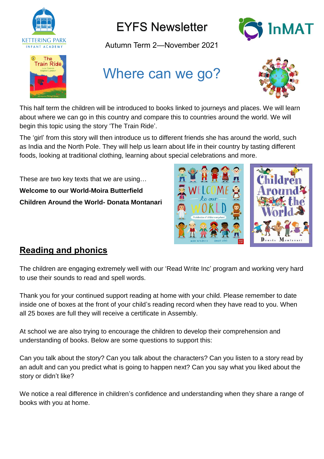



Autumn Term 2—November 2021





# Where can we go?



This half term the children will be introduced to books linked to journeys and places. We will learn about where we can go in this country and compare this to countries around the world. We will begin this topic using the story 'The Train Ride'.

The 'girl' from this story will then introduce us to different friends she has around the world, such as India and the North Pole. They will help us learn about life in their country by tasting different foods, looking at traditional clothing, learning about special celebrations and more.

These are two key texts that we are using… **Welcome to our World-Moira Butterfield Children Around the World- Donata Montanari**



#### **Reading and phonics**

The children are engaging extremely well with our 'Read Write Inc' program and working very hard to use their sounds to read and spell words.

Thank you for your continued support reading at home with your child. Please remember to date inside one of boxes at the front of your child's reading record when they have read to you. When all 25 boxes are full they will receive a certificate in Assembly.

At school we are also trying to encourage the children to develop their comprehension and understanding of books. Below are some questions to support this:

Can you talk about the story? Can you talk about the characters? Can you listen to a story read by an adult and can you predict what is going to happen next? Can you say what you liked about the story or didn't like?

We notice a real difference in children's confidence and understanding when they share a range of books with you at home.